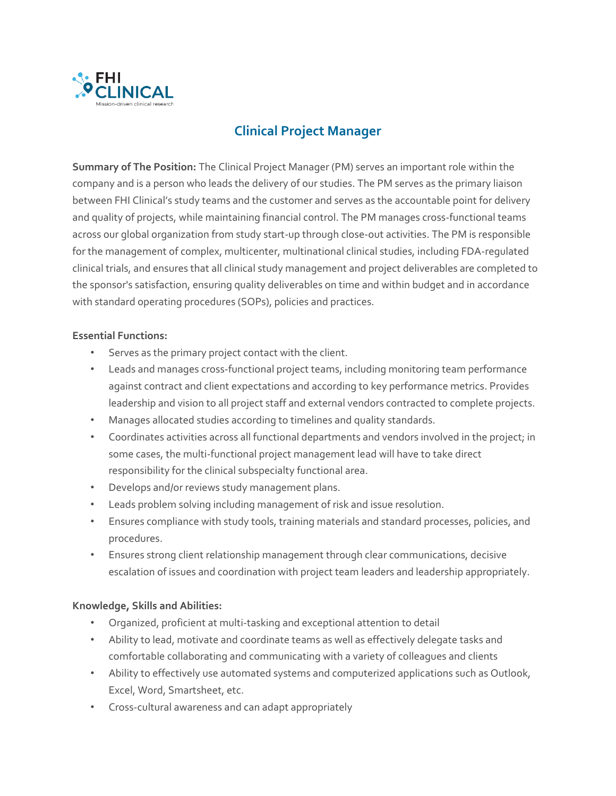

## **Clinical Project Manager**

**Summary of The Position:** The Clinical Project Manager (PM) serves an important role within the company and is a person who leads the delivery of our studies. The PM serves as the primary liaison between FHI Clinical's study teams and the customer and serves as the accountable point for delivery and quality of projects, while maintaining financial control. The PM manages cross-functional teams across our global organization from study start-up through close-out activities. The PM is responsible for the management of complex, multicenter, multinational clinical studies, including FDA-regulated clinical trials, and ensures that all clinical study management and project deliverables are completed to the sponsor's satisfaction, ensuring quality deliverables on time and within budget and in accordance with standard operating procedures (SOPs), policies and practices.

## **Essential Functions:**

- Serves as the primary project contact with the client.
- Leads and manages cross-functional project teams, including monitoring team performance against contract and client expectations and according to key performance metrics. Provides leadership and vision to all project staff and external vendors contracted to complete projects.
- Manages allocated studies according to timelines and quality standards.
- Coordinates activities across all functional departments and vendors involved in the project; in some cases, the multi-functional project management lead will have to take direct responsibility for the clinical subspecialty functional area.
- Develops and/or reviews study management plans.
- Leads problem solving including management of risk and issue resolution.
- Ensures compliance with study tools, training materials and standard processes, policies, and procedures.
- Ensures strong client relationship management through clear communications, decisive escalation of issues and coordination with project team leaders and leadership appropriately.

## **Knowledge, Skills and Abilities:**

- Organized, proficient at multi-tasking and exceptional attention to detail
- Ability to lead, motivate and coordinate teams as well as effectively delegate tasks and comfortable collaborating and communicating with a variety of colleagues and clients
- Ability to effectively use automated systems and computerized applications such as Outlook, Excel, Word, Smartsheet, etc.
- Cross-cultural awareness and can adapt appropriately